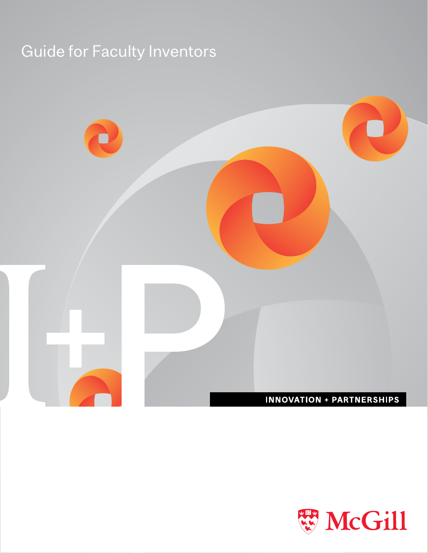# **Guide for Faculty Inventors**



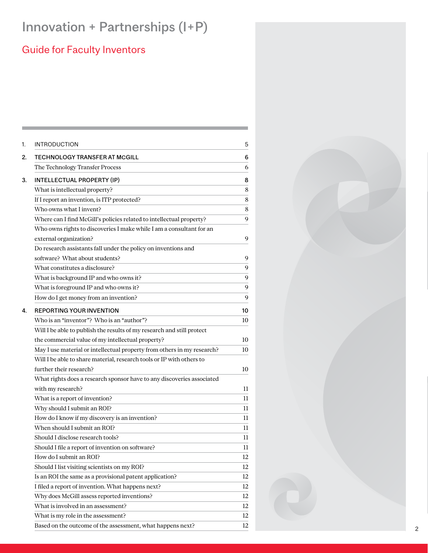# Innovation + Partnerships (I+P)

# **Guide for Faculty Inventors**

| <b>INTRODUCTION</b>                                                     | 5      |
|-------------------------------------------------------------------------|--------|
| <b>TECHNOLOGY TRANSFER AT MCGILL</b>                                    | 6      |
| The Technology Transfer Process                                         | 6      |
| <b>INTELLECTUAL PROPERTY (IP)</b>                                       | 8      |
| What is intellectual property?                                          | 8      |
| If I report an invention, is ITP protected?                             | 8      |
| Who owns what I invent?                                                 | 8      |
| Where can I find McGill's policies related to intellectual property?    | 9      |
| Who owns rights to discoveries I make while I am a consultant for an    |        |
| external organization?                                                  | 9      |
| Do research assistants fall under the policy on inventions and          |        |
| software? What about students?                                          | 9      |
| What constitutes a disclosure?                                          | 9      |
| What is background IP and who owns it?                                  | 9      |
| What is foreground IP and who owns it?                                  | 9      |
| How do I get money from an invention?                                   | 9      |
| <b>REPORTING YOUR INVENTION</b>                                         | 10     |
| Who is an "inventor"? Who is an "author"?                               | 10     |
| Will I be able to publish the results of my research and still protect  |        |
| the commercial value of my intellectual property?                       | 10     |
| May I use material or intellectual property from others in my research? | 10     |
| Will I be able to share material, research tools or IP with others to   |        |
| further their research?                                                 | 10     |
| What rights does a research sponsor have to any discoveries associated  |        |
| with my research?                                                       | 11     |
| What is a report of invention?                                          | 11     |
| Why should I submit an ROI?                                             | 11     |
| How do I know if my discovery is an invention?                          | 11     |
| When should I submit an ROI?                                            | 11     |
| Should I disclose research tools?                                       | 11     |
| Should I file a report of invention on software?                        | $11\,$ |
| How do I submit an ROI?                                                 | 12     |
| Should I list visiting scientists on my ROI?                            | 12     |
| Is an ROI the same as a provisional patent application?                 | 12     |
| I filed a report of invention. What happens next?                       | 12     |
| Why does McGill assess reported inventions?                             | 12     |
| What is involved in an assessment?                                      | 12     |
| What is my role in the assessment?                                      | 12     |
| Based on the outcome of the assessment, what happens next?              | 12     |

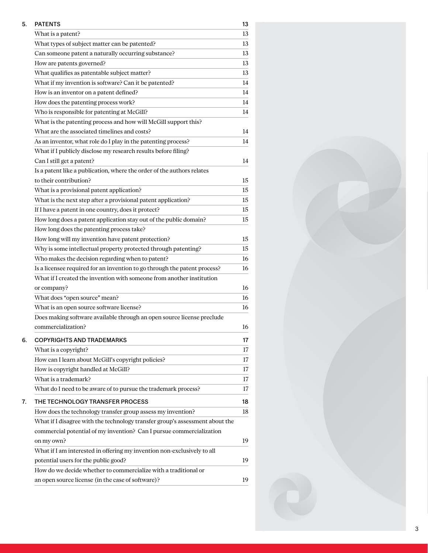| 5. | <b>PATENTS</b>                                                               | 13 |
|----|------------------------------------------------------------------------------|----|
|    | What is a patent?                                                            | 13 |
|    | What types of subject matter can be patented?                                | 13 |
|    | Can someone patent a naturally occurring substance?                          | 13 |
|    | How are patents governed?                                                    | 13 |
|    | What qualifies as patentable subject matter?                                 | 13 |
|    | What if my invention is software? Can it be patented?                        | 14 |
|    | How is an inventor on a patent defined?                                      | 14 |
|    | How does the patenting process work?                                         | 14 |
|    | Who is responsible for patenting at McGill?                                  | 14 |
|    | What is the patenting process and how will McGill support this?              |    |
|    | What are the associated timelines and costs?                                 | 14 |
|    | As an inventor, what role do I play in the patenting process?                | 14 |
|    | What if I publicly disclose my research results before filing?               |    |
|    | Can I still get a patent?                                                    | 14 |
|    | Is a patent like a publication, where the order of the authors relates       |    |
|    | to their contribution?                                                       | 15 |
|    | What is a provisional patent application?                                    | 15 |
|    | What is the next step after a provisional patent application?                | 15 |
|    | If I have a patent in one country, does it protect?                          | 15 |
|    | How long does a patent application stay out of the public domain?            | 15 |
|    | How long does the patenting process take?                                    |    |
|    | How long will my invention have patent protection?                           | 15 |
|    | Why is some intellectual property protected through patenting?               | 15 |
|    | Who makes the decision regarding when to patent?                             | 16 |
|    | Is a licensee required for an invention to go through the patent process?    | 16 |
|    | What if I created the invention with someone from another institution        |    |
|    | or company?                                                                  | 16 |
|    | What does "open source" mean?                                                | 16 |
|    | What is an open source software license?                                     | 16 |
|    | Does making software available through an open source license preclude       |    |
|    | commercialization?                                                           | 16 |
| 6. | <b>COPYRIGHTS AND TRADEMARKS</b>                                             | 17 |
|    | What is a copyright?                                                         | 17 |
|    | How can I learn about McGill's copyright policies?                           | 17 |
|    | How is copyright handled at McGill?                                          | 17 |
|    | What is a trademark?                                                         | 17 |
|    | What do I need to be aware of to pursue the trademark process?               | 17 |
|    |                                                                              |    |
| 7. | THE TECHNOLOGY TRANSFER PROCESS                                              | 18 |
|    | How does the technology transfer group assess my invention?                  | 18 |
|    | What if I disagree with the technology transfer group's assessment about the |    |
|    | commercial potential of my invention? Can I pursue commercialization         |    |
|    | on my own?                                                                   | 19 |
|    | What if I am interested in offering my invention non-exclusively to all      |    |
|    | potential users for the public good?                                         | 19 |
|    | How do we decide whether to commercialize with a traditional or              |    |
|    | an open source license (in the case of software)?                            | 19 |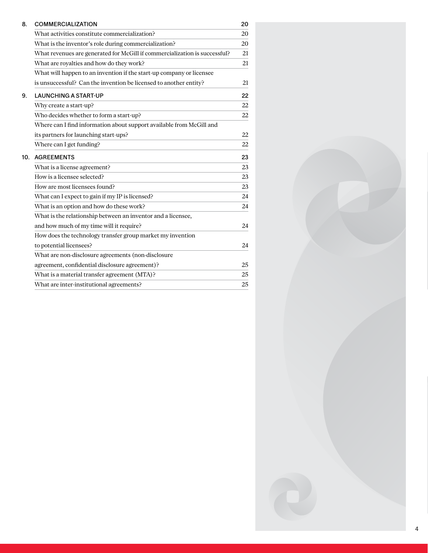| 8.  | <b>COMMERCIALIZATION</b>                                                   | 20 |
|-----|----------------------------------------------------------------------------|----|
|     | What activities constitute commercialization?                              | 20 |
|     | What is the inventor's role during commercialization?                      | 20 |
|     | What revenues are generated for McGill if commercialization is successful? | 21 |
|     | What are royalties and how do they work?                                   | 21 |
|     | What will happen to an invention if the start-up company or licensee       |    |
|     | is unsuccessful? Can the invention be licensed to another entity?          | 21 |
| 9.  | <b>LAUNCHING A START-UP</b>                                                | 22 |
|     | Why create a start-up?                                                     | 22 |
|     | Who decides whether to form a start-up?                                    | 22 |
|     | Where can I find information about support available from McGill and       |    |
|     | its partners for launching start-ups?                                      | 22 |
|     | Where can I get funding?                                                   | 22 |
| 10. | <b>AGREEMENTS</b>                                                          | 23 |
|     | What is a license agreement?                                               | 23 |
|     | How is a licensee selected?                                                | 23 |
|     | How are most licensees found?                                              | 23 |
|     | What can I expect to gain if my IP is licensed?                            | 24 |
|     | What is an option and how do these work?                                   | 24 |
|     | What is the relationship between an inventor and a licensee,               |    |
|     | and how much of my time will it require?                                   | 24 |
|     | How does the technology transfer group market my invention                 |    |
|     | to potential licensees?                                                    | 24 |
|     | What are non-disclosure agreements (non-disclosure                         |    |
|     | agreement, confidential disclosure agreement)?                             | 25 |
|     | What is a material transfer agreement (MTA)?                               | 25 |
|     | What are inter-institutional agreements?                                   | 25 |

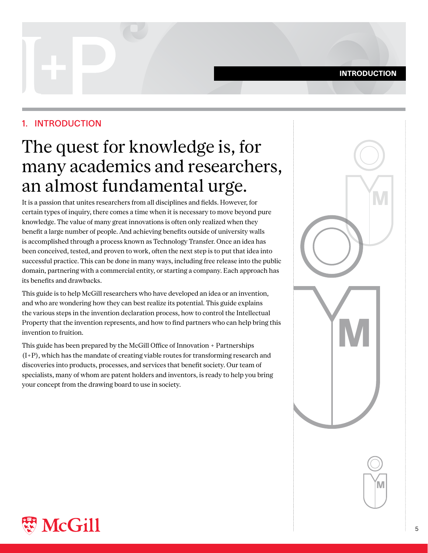#### **INTRODUCTION**

# <span id="page-4-0"></span>1. INTRODUCTION

# The quest for knowledge is, for many academics and researchers, an almost fundamental urge.

It is a passion that unites researchers from all disciplines and fields. However, for certain types of inquiry, there comes a time when it is necessary to move beyond pure knowledge. The value of many great innovations is often only realized when they benefit a large number of people. And achieving benefits outside of university walls is accomplished through a process known as Technology Transfer. Once an idea has been conceived, tested, and proven to work, often the next step is to put that idea into successful practice. This can be done in many ways, including free release into the public domain, partnering with a commercial entity, or starting a company. Each approach has its benefits and drawbacks.

This guide is to help McGill researchers who have developed an idea or an invention, and who are wondering how they can best realize its potential. This guide explains the various steps in the invention declaration process, how to control the Intellectual Property that the invention represents, and how to find partners who can help bring this invention to fruition.

This guide has been prepared by the McGill Office of Innovation + Partnerships  $(I+P)$ , which has the mandate of creating viable routes for transforming research and discoveries into products, processes, and services that benefit society. Our team of specialists, many of whom are patent holders and inventors, is ready to help you bring your concept from the drawing board to use in society.





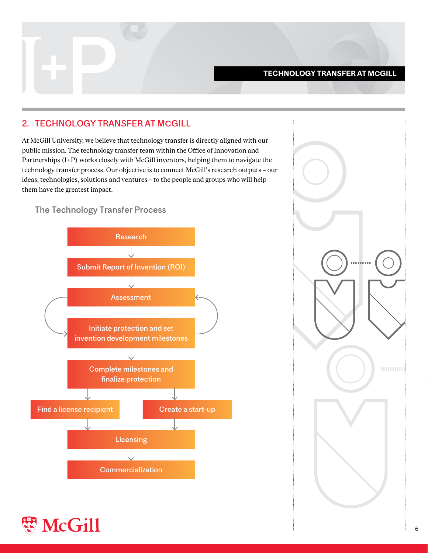#### **TECHNOLOGY TRANSFER AT MCGILL**

# <span id="page-5-0"></span>2. TECHNOLOGY TRANSFER AT MCGILL

At McGill University, we believe that technology transfer is directly aligned with our public mission. The technology transfer team within the Office of Innovation and Partnerships (I+P) works closely with McGill inventors, helping them to navigate the technology transfer process. Our objective is to connect McGill's research outputs - our ideas, technologies, solutions and ventures - to the people and groups who will help them have the greatest impact.

The Technology Transfer Process





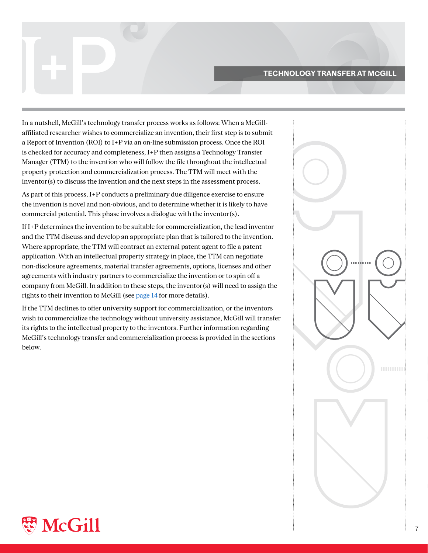#### **TECHNOLOGY TRANSFER AT MCGILL**

affiliated researcher wishes to commercialize an invention, their first step is to submit In a nutshell, McGill's technology transfer process works as follows: When a McGilla Report of Invention (ROI) to I+P via an on-line submission process. Once the ROI is checked for accuracy and completeness,  $I+P$  then assigns a Technology Transfer Manager (TTM) to the invention who will follow the file throughout the intellectual property protection and commercialization process. The TTM will meet with the  $inventor(s)$  to discuss the invention and the next steps in the assessment process.

As part of this process, I+P conducts a preliminary due diligence exercise to ensure the invention is novel and non-obvious, and to determine whether it is likely to have commercial potential. This phase involves a dialogue with the inventor(s).

If I+P determines the invention to be suitable for commercialization, the lead inventor and the TTM discuss and develop an appropriate plan that is tailored to the invention. Where appropriate, the TTM will contract an external patent agent to file a patent application. With an intellectual property strategy in place, the TTM can negotiate non-disclosure agreements, material transfer agreements, options, licenses and other agreements with industry partners to commercialize the invention or to spin off a company from McGill. In addition to these steps, the inventor (s) will need to assign the rights to their invention to McGill (see page 14 for more details).

If the TTM declines to offer university support for commercialization, or the inventors wish to commercialize the technology without university assistance, McGill will transfer its rights to the intellectual property to the inventors. Further information regarding McGill's technology transfer and commercialization process is provided in the sections below.

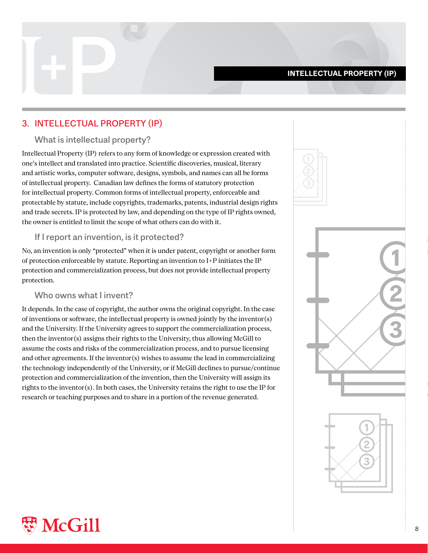#### **INTELLECTUAL PROPERTY (IP)**

# <span id="page-7-0"></span>3. INTELLECTUAL PROPERTY (IP)

#### What is intellectual property?

Intellectual Property (IP) refers to any form of knowledge or expression created with one's intellect and translated into practice. Scientific discoveries, musical, literary and artistic works, computer software, designs, symbols, and names can all be forms of intellectual property. Canadian law defines the forms of statutory protection for intellectual property. Common forms of intellectual property, enforceable and protectable by statute, include copyrights, trademarks, patents, industrial design rights and trade secrets. IP is protected by law, and depending on the type of IP rights owned, the owner is entitled to limit the scope of what others can do with it.

#### If I report an invention, is it protected?

No, an invention is only "protected" when it is under patent, copyright or another form of protection enforceable by statute. Reporting an invention to  $I+P$  initiates the IP protection and commercialization process, but does not provide intellectual property protection.

#### Who owns what I invent?

It depends. In the case of copyright, the author owns the original copyright. In the case of inventions or software, the intellectual property is owned jointly by the inventor $(s)$ and the University. If the University agrees to support the commercialization process, then the inventor(s) assigns their rights to the University, thus allowing McGill to assume the costs and risks of the commercialization process, and to pursue licensing and other agreements. If the inventor (s) wishes to assume the lead in commercializing the technology independently of the University, or if McGill declines to pursue/continue protection and commercialization of the invention, then the University will assign its rights to the inventor(s). In both cases, the University retains the right to use the IP for research or teaching purposes and to share in a portion of the revenue generated.



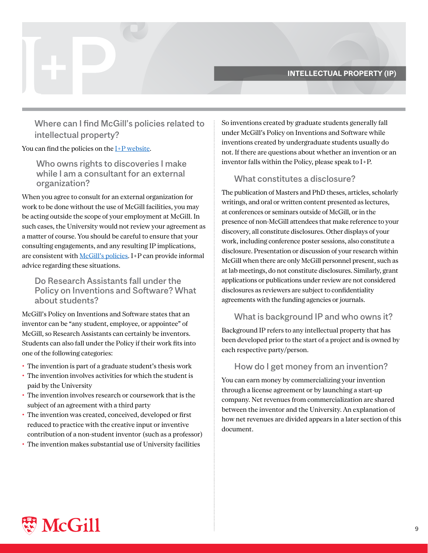#### **INTELLECTUAL PROPERTY (IP)**

<span id="page-8-0"></span>Where can I find McGill's policies related to intellectual property?

You can find the policies on the  $I+P$  website.

Who owns rights to discoveries I make while I am a consultant for an external organization?

When you agree to consult for an external organization for work to be done without the use of McGill facilities, you may be acting outside the scope of your employment at McGill. In such cases, the University would not review your agreement as a matter of course. You should be careful to ensure that your consulting engagements, and any resulting IP implications, are consistent with McGill's policies. I+P can provide informal advice regarding these situations.

### Do Research Assistants fall under the Policy on Inventions and Software? What about students?

McGill's Policy on Inventions and Software states that an inventor can be "any student, employee, or appointee" of McGill, so Research Assistants can certainly be inventors. Students can also fall under the Policy if their work fits into one of the following categories:

- The invention is part of a graduate student's thesis work
- The invention involves activities for which the student is paid by the University
- The invention involves research or coursework that is the subject of an agreement with a third party
- The invention was created, conceived, developed or first reduced to practice with the creative input or inventive contribution of a non-student inventor (such as a professor)
- The invention makes substantial use of University facilities

So inventions created by graduate students generally fall under McGill's Policy on Inventions and Software while inventions created by undergraduate students usually do not. If there are questions about whether an invention or an inventor falls within the Policy, please speak to  $I+P$ .

#### What constitutes a disclosure?

The publication of Masters and PhD theses, articles, scholarly writings, and oral or written content presented as lectures, at conferences or seminars outside of McGill, or in the presence of non-McGill attendees that make reference to your discovery, all constitute disclosures. Other displays of your work, including conference poster sessions, also constitute a disclosure. Presentation or discussion of your research within McGill when there are only McGill personnel present, such as at lab meetings, do not constitute disclosures. Similarly, grant applications or publications under review are not considered disclosures as reviewers are subject to confidentiality agreements with the funding agencies or journals.

# What is background IP and who owns it?

Background IP refers to any intellectual property that has been developed prior to the start of a project and is owned by each respective party/person.

#### How do I get money from an invention?

You can earn money by commercializing your invention through a license agreement or by launching a start-up company. Net revenues from commercialization are shared between the inventor and the University. An explanation of how net revenues are divided appears in a later section of this document.

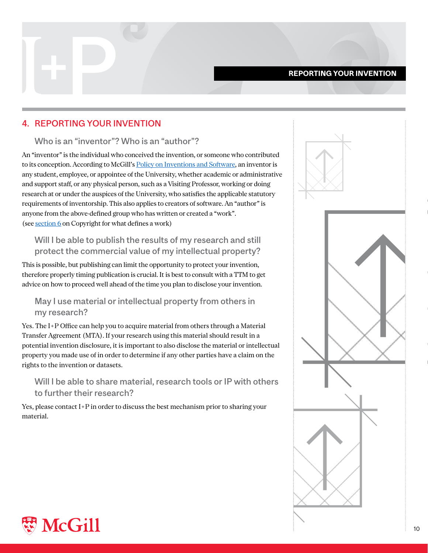#### **REPORTING YOUR INVENTION**

# <span id="page-9-0"></span>**4. REPORTING YOUR INVENTION**

#### Who is an "inventor"? Who is an "author"?

An "inventor" is the individual who conceived the invention, or someone who contributed to its conception. According to McGill's Policy on Inventions and Software, an inventor is any student, employee, or appointee of the University, whether academic or administrative and support staff, or any physical person, such as a Visiting Professor, working or doing research at or under the auspices of the University, who satisfies the applicable statutory requirements of inventorship. This also applies to creators of software. An "author" is anyone from the above-defined group who has written or created a "work". (see section  $6$  on Copyright for what defines a work)

# Will I be able to publish the results of my research and still protect the commercial value of my intellectual property?

This is possible, but publishing can limit the opportunity to protect your invention, therefore properly timing publication is crucial. It is best to consult with a TTM to get advice on how to proceed well ahead of the time you plan to disclose your invention.

# May I use material or intellectual property from others in my research?

Yes. The I+P Office can help you to acquire material from others through a Material Transfer Agreement (MTA). If your research using this material should result in a potential invention disclosure, it is important to also disclose the material or intellectual property you made use of in order to determine if any other parties have a claim on the rights to the invention or datasets.

# Will I be able to share material, research tools or IP with others to further their research?

Yes, please contact I+P in order to discuss the best mechanism prior to sharing your .material



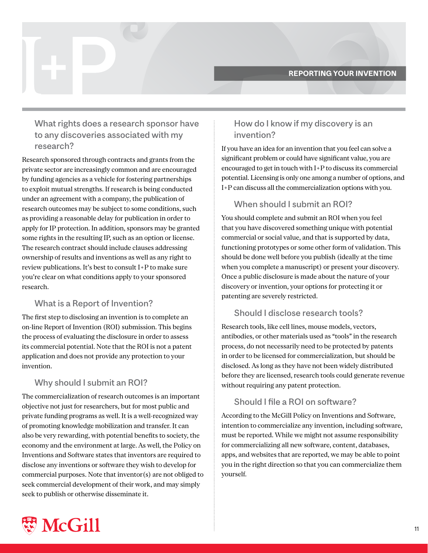# <span id="page-10-0"></span>What rights does a research sponsor have to any discoveries associated with my research?

Research sponsored through contracts and grants from the private sector are increasingly common and are encouraged by funding agencies as a vehicle for fostering partnerships to exploit mutual strengths. If research is being conducted under an agreement with a company, the publication of research outcomes may be subject to some conditions, such as providing a reasonable delay for publication in order to apply for IP protection. In addition, sponsors may be granted some rights in the resulting IP, such as an option or license. The research contract should include clauses addressing ownership of results and inventions as well as any right to review publications. It's best to consult  $I+P$  to make sure you're clear on what conditions apply to your sponsored .research

# What is a Report of Invention?

The first step to disclosing an invention is to complete an on-line Report of Invention (ROI) submission. This begins the process of evaluating the disclosure in order to assess its commercial potential. Note that the ROI is not a patent application and does not provide any protection to your invention.

# Why should I submit an ROI?

The commercialization of research outcomes is an important objective not just for researchers, but for most public and private funding programs as well. It is a well-recognized way of promoting knowledge mobilization and transfer. It can also be very rewarding, with potential benefits to society, the economy and the environment at large. As well, the Policy on Inventions and Software states that inventors are required to disclose any inventions or software they wish to develop for commercial purposes. Note that inventor  $(s)$  are not obliged to seek commercial development of their work, and may simply seek to publish or otherwise disseminate it.

# How do I know if my discovery is an invention?

If you have an idea for an invention that you feel can solve a significant problem or could have significant value, you are encouraged to get in touch with  $I+P$  to discuss its commercial potential. Licensing is only one among a number of options, and I+P can discuss all the commercialization options with you.

# When should I submit an ROI?

You should complete and submit an ROI when you feel that you have discovered something unique with potential commercial or social value, and that is supported by data, functioning prototypes or some other form of validation. This should be done well before you publish (ideally at the time when you complete a manuscript) or present your discovery. Once a public disclosure is made about the nature of your discovery or invention, your options for protecting it or patenting are severely restricted.

# Should I disclose research tools?

Research tools, like cell lines, mouse models, vectors, antibodies, or other materials used as "tools" in the research process, do not necessarily need to be protected by patents in order to be licensed for commercialization, but should be disclosed. As long as they have not been widely distributed before they are licensed, research tools could generate revenue without requiring any patent protection.

# Should I file a ROI on software?

According to the McGill Policy on Inventions and Software, intention to commercialize any invention, including software, must be reported. While we might not assume responsibility for commercializing all new software, content, databases, apps, and websites that are reported, we may be able to point you in the right direction so that you can commercialize them .yourself

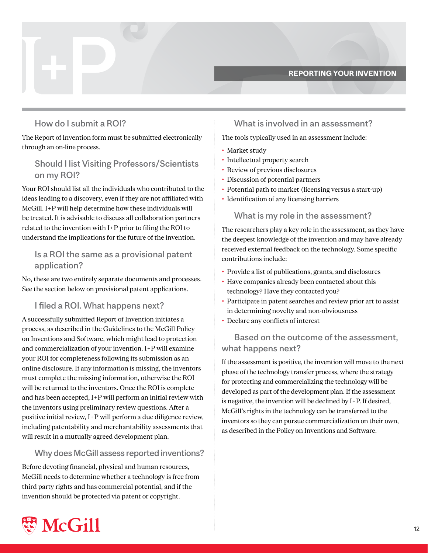#### **REPORTING YOUR INVENTION**

### <span id="page-11-0"></span>How do I submit a ROI?

The Report of Invention form must be submitted electronically through an on-line process.

# Should I list Visiting Professors/Scientists on my ROI?

Your ROI should list all the individuals who contributed to the ideas leading to a discovery, even if they are not affiliated with McGill.  $I+P$  will help determine how these individuals will be treated. It is advisable to discuss all collaboration partners related to the invention with  $I+P$  prior to filing the ROI to understand the implications for the future of the invention.

# Is a ROI the same as a provisional patent application?

No, these are two entirely separate documents and processes. See the section below on provisional patent applications.

#### I filed a ROI. What happens next?

A successfully submitted Report of Invention initiates a process, as described in the Guidelines to the McGill Policy on Inventions and Software, which might lead to protection and commercialization of your invention. I+P will examine your ROI for completeness following its submission as an online disclosure. If any information is missing, the inventors must complete the missing information, otherwise the ROI will be returned to the inventors. Once the ROI is complete and has been accepted,  $I+P$  will perform an initial review with the inventors using preliminary review questions. After a positive initial review,  $I+P$  will perform a due diligence review, including patentability and merchantability assessments that will result in a mutually agreed development plan.

#### Why does McGill assess reported inventions?

Before devoting financial, physical and human resources, McGill needs to determine whether a technology is free from third party rights and has commercial potential, and if the invention should be protected via patent or copyright.

# What is involved in an assessment?

The tools typically used in an assessment include:

- Market study
- Intellectual property search
- Review of previous disclosures
- Discussion of potential partners
- Potential path to market (licensing versus a start-up)
- Identification of any licensing barriers

#### What is my role in the assessment?

The researchers play a key role in the assessment, as they have the deepest knowledge of the invention and may have already received external feedback on the technology. Some specific contributions include:

- Provide a list of publications, grants, and disclosures
- Have companies already been contacted about this technology? Have they contacted you?
- Participate in patent searches and review prior art to assist in determining novelty and non-obviousness
- Declare any conflicts of interest

# Based on the outcome of the assessment. what happens next?

If the assessment is positive, the invention will move to the next phase of the technology transfer process, where the strategy for protecting and commercializing the technology will be developed as part of the development plan. If the assessment is negative, the invention will be declined by  $I+P$ . If desired, McGill's rights in the technology can be transferred to the inventors so they can pursue commercialization on their own, as described in the Policy on Inventions and Software.

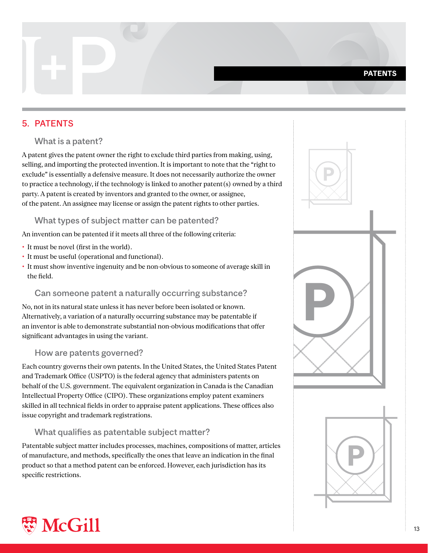# <span id="page-12-0"></span>**5. PATENTS**

#### What is a patent?

A patent gives the patent owner the right to exclude third parties from making, using, selling, and importing the protected invention. It is important to note that the "right to exclude" is essentially a defensive measure. It does not necessarily authorize the owner to practice a technology, if the technology is linked to another patent  $(s)$  owned by a third party. A patent is created by inventors and granted to the owner, or assignee, of the patent. An assignee may license or assign the patent rights to other parties.

#### What types of subject matter can be patented?

An invention can be patented if it meets all three of the following criteria:

- It must be novel (first in the world).
- It must be useful (operational and functional).
- It must show inventive ingenuity and be non-obvious to someone of average skill in the field.

#### Can someone patent a naturally occurring substance?

No, not in its natural state unless it has never before been isolated or known. Alternatively, a variation of a naturally occurring substance may be patentable if an inventor is able to demonstrate substantial non-obvious modifications that offer significant advantages in using the variant.

#### How are patents governed?

Each country governs their own patents. In the United States, the United States Patent and Trademark Office (USPTO) is the federal agency that administers patents on behalf of the U.S. government. The equivalent organization in Canada is the Canadian Intellectual Property Office (CIPO). These organizations employ patent examiners skilled in all technical fields in order to appraise patent applications. These offices also issue copyright and trademark registrations.

# What qualifies as patentable subject matter?

Patentable subject matter includes processes, machines, compositions of matter, articles of manufacture, and methods, specifically the ones that leave an indication in the final product so that a method patent can be enforced. However, each jurisdiction has its specific restrictions.



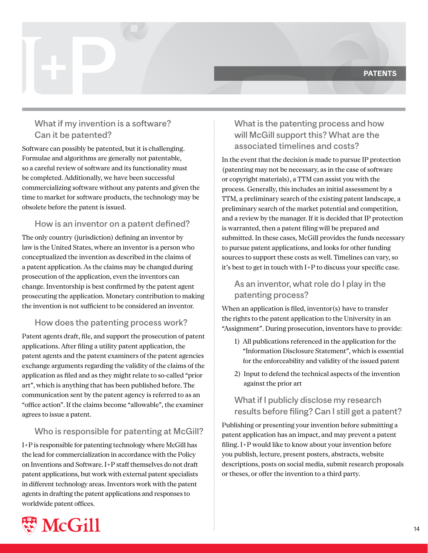# <span id="page-13-0"></span>What if my invention is a software? Can it be patented?

Software can possibly be patented, but it is challenging. Formulae and algorithms are generally not patentable, so a careful review of software and its functionality must be completed. Additionally, we have been successful commercializing software without any patents and given the time to market for software products, the technology may be obsolete before the patent is issued.

# How is an inventor on a patent defined?

The only country (jurisdiction) defining an inventor by law is the United States, where an inventor is a person who conceptualized the invention as described in the claims of a patent application. As the claims may be changed during prosecution of the application, even the inventors can change. Inventorship is best confirmed by the patent agent prosecuting the application. Monetary contribution to making the invention is not sufficient to be considered an inventor.

#### How does the patenting process work?

Patent agents draft, file, and support the prosecution of patent applications. After filing a utility patent application, the patent agents and the patent examiners of the patent agencies exchange arguments regarding the validity of the claims of the application as filed and as they might relate to so-called "prior art", which is anything that has been published before. The communication sent by the patent agency is referred to as an " office action". If the claims become "allowable", the examiner agrees to issue a patent.

# Who is responsible for patenting at McGill?

I+P is responsible for patenting technology where McGill has the lead for commercialization in accordance with the Policy on Inventions and Software. I+P staff themselves do not draft patent applications, but work with external patent specialists in different technology areas. Inventors work with the patent agents in drafting the patent applications and responses to worldwide patent offices.

# What is the patenting process and how will McGill support this? What are the associated timelines and costs?

In the event that the decision is made to pursue IP protection (patenting may not be necessary, as in the case of software or copyright materials), a TTM can assist you with the process. Generally, this includes an initial assessment by a TTM, a preliminary search of the existing patent landscape, a preliminary search of the market potential and competition, and a review by the manager. If it is decided that IP protection is warranted, then a patent filing will be prepared and submitted. In these cases, McGill provides the funds necessary to pursue patent applications, and looks for other funding sources to support these costs as well. Timelines can vary, so it's best to get in touch with  $I+P$  to discuss your specific case.

# As an inventor, what role do I play in the patenting process?

When an application is filed, inventor  $(s)$  have to transfer the rights to the patent application to the University in an "Assignment". During prosecution, inventors have to provide:

- 1) All publications referenced in the application for the "Information Disclosure Statement", which is essential for the enforceability and validity of the issued patent
- 2) Input to defend the technical aspects of the invention against the prior art

# What if I publicly disclose my research results before filing? Can I still get a patent?

Publishing or presenting your invention before submitting a patent application has an impact, and may prevent a patent filing. I+P would like to know about your invention before you publish, lecture, present posters, abstracts, website descriptions, posts on social media, submit research proposals or theses, or offer the invention to a third party.

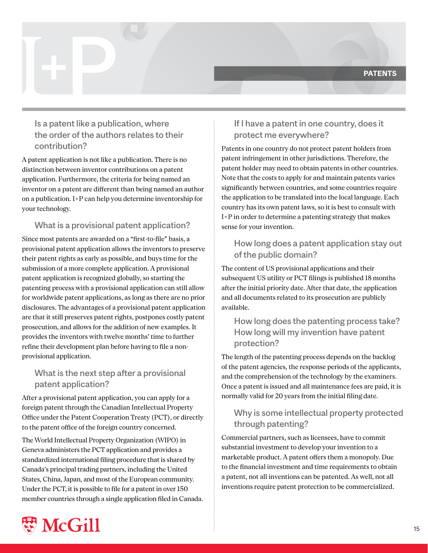# <span id="page-14-0"></span>Is a patent like a publication, where the order of the authors relates to their ?contribution

A patent application is not like a publication. There is no distinction between inventor contributions on a patent application. Furthermore, the criteria for being named an inventor on a patent are different than being named an author on a publication.  $I+P$  can help you determine inventorship for your technology.

# What is a provisional patent application?

Since most patents are awarded on a "first-to-file" basis, a provisional patent application allows the inventors to preserve their patent rights as early as possible, and buys time for the submission of a more complete application. A provisional patent application is recognized globally, so starting the patenting process with a provisional application can still allow for worldwide patent applications, as long as there are no prior disclosures. The advantages of a provisional patent application are that it still preserves patent rights, postpones costly patent prosecution, and allows for the addition of new examples. It provides the inventors with twelve months' time to further refine their development plan before having to file a non-<br>provisional application.

# What is the next step after a provisional patent application?

After a provisional patent application, you can apply for a foreign patent through the Canadian Intellectual Property Office under the Patent Cooperation Treaty (PCT), or directly to the patent office of the foreign country concerned.

The World Intellectual Property Organization (WIPO) in Geneva administers the PCT application and provides a standardized international filing procedure that is shared by Canada's principal trading partners, including the United States, China, Japan, and most of the European community. Under the PCT, it is possible to file for a patent in over 150 member countries through a single application filed in Canada.

# If I have a patent in one country, does it protect me everywhere?

Patents in one country do not protect patent holders from patent infringement in other jurisdictions. Therefore, the patent holder may need to obtain patents in other countries. Note that the costs to apply for and maintain patents varies significantly between countries, and some countries require the application to be translated into the local language. Each country has its own patent laws, so it is best to consult with I+P in order to determine a patenting strategy that makes sense for your invention.

# How long does a patent application stay out of the public domain?

The content of US provisional applications and their subsequent US utility or PCT filings is published 18 months after the initial priority date. After that date, the application and all documents related to its prosecution are publicly .available

# How long does the patenting process take? How long will my invention have patent protection?

The length of the patenting process depends on the backlog of the patent agencies, the response periods of the applicants, and the comprehension of the technology by the examiners. Once a patent is issued and all maintenance fees are paid, it is normally valid for 20 years from the initial filing date.

# Why is some intellectual property protected through patenting?

Commercial partners, such as licensees, have to commit substantial investment to develop your invention to a marketable product. A patent offers them a monopoly. Due to the financial investment and time requirements to obtain a patent, not all inventions can be patented. As well, not all inventions require patent protection to be commercialized.

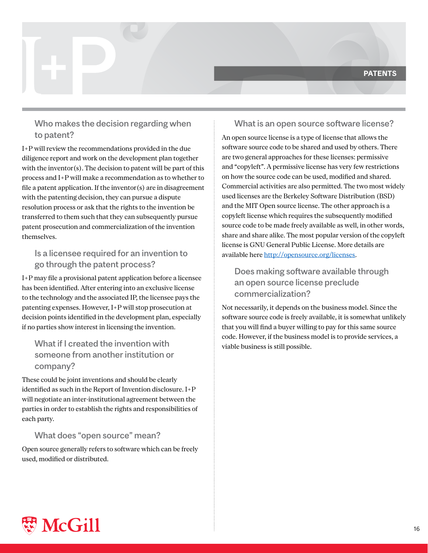# <span id="page-15-0"></span>Who makes the decision regarding when to patent?

I+P will review the recommendations provided in the due diligence report and work on the development plan together with the inventor(s). The decision to patent will be part of this process and  $I+P$  will make a recommendation as to whether to file a patent application. If the inventor  $(s)$  are in disagreement with the patenting decision, they can pursue a dispute resolution process or ask that the rights to the invention be transferred to them such that they can subsequently pursue patent prosecution and commercialization of the invention .themselves

# Is a licensee required for an invention to go through the patent process?

I+P may file a provisional patent application before a licensee has been identified. After entering into an exclusive license to the technology and the associated IP, the licensee pays the patenting expenses. However, I+P will stop prosecution at decision points identified in the development plan, especially if no parties show interest in licensing the invention.

# What if I created the invention with someone from another institution or ?company

These could be joint inventions and should be clearly identified as such in the Report of Invention disclosure.  $I+P$ will negotiate an inter-institutional agreement between the parties in order to establish the rights and responsibilities of each party.

# What does "open source" mean?

Open source generally refers to software which can be freely used. modified or distributed.

# What is an open source software license?

An open source license is a type of license that allows the software source code to be shared and used by others. There are two general approaches for these licenses: permissive and "copyleft". A permissive license has very few restrictions on how the source code can be used, modified and shared. Commercial activities are also permitted. The two most widely used licenses are the Berkeley Software Distribution (BSD) and the MIT Open source license. The other approach is a copyleft license which requires the subsequently modified source code to be made freely available as well, in other words, share and share alike. The most popular version of the copyleft license is GNU General Public License. More details are available here http://opensource.org/licenses.

# Does making software available through an open source license preclude ?commercialization

Not necessarily, it depends on the business model. Since the software source code is freely available, it is somewhat unlikely that you will find a buyer willing to pay for this same source code. However, if the business model is to provide services, a viable business is still possible.

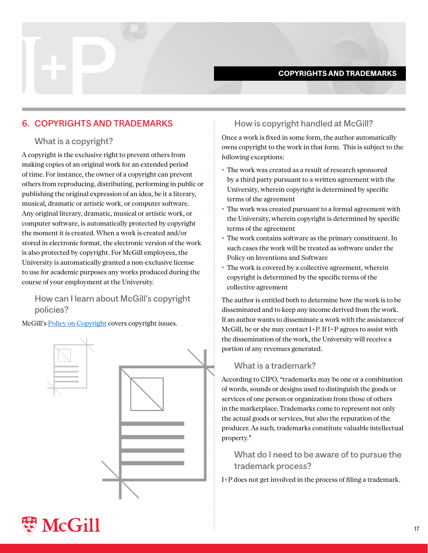#### **COPYRIGHTS AND TRADEMARKS**

# <span id="page-16-0"></span>6. COPYRIGHTS AND TRADEMARKS

#### What is a copyright?

A copyright is the exclusive right to prevent others from making copies of an original work for an extended period of time. For instance, the owner of a copyright can prevent others from reproducing, distributing, performing in public or publishing the original expression of an idea, be it a literary, musical, dramatic or artistic work, or computer software. Any original literary, dramatic, musical or artistic work, or computer software, is automatically protected by copyright the moment it is created. When a work is created and/or stored in electronic format, the electronic version of the work is also protected by copyright. For McGill employees, the University is automatically granted a non-exclusive license to use for academic purposes any works produced during the course of your employment at the University.

How can I learn about McGill's copyright policies?

McGill's Policy on Copyright covers copyright issues.



### How is copyright handled at McGill?

Once a work is fixed in some form, the author automatically owns copyright to the work in that form. This is subject to the following exceptions:

- The work was created as a result of research sponsored by a third party pursuant to a written agreement with the University, wherein copyright is determined by specific terms of the agreement
- The work was created pursuant to a formal agreement with the University, wherein copyright is determined by specific terms of the agreement
- The work contains software as the primary constituent. In such cases the work will be treated as software under the Policy on Inventions and Software
- The work is covered by a collective agreement, wherein copyright is determined by the specific terms of the collective agreement

The author is entitled both to determine how the work is to be disseminated and to keep any income derived from the work. If an author wants to disseminate a work with the assistance of McGill, he or she may contact  $I+P$ . If  $I+P$  agrees to assist with the dissemination of the work, the University will receive a portion of any revenues generated.

#### What is a trademark?

According to CIPO, "trademarks may be one or a combination of words, sounds or designs used to distinguish the goods or services of one person or organization from those of others in the marketplace. Trademarks come to represent not only the actual goods or services, but also the reputation of the producer. As such, trademarks constitute valuable intellectual property."

What do I need to be aware of to pursue the trademark process?

I+P does not get involved in the process of filing a trademark.

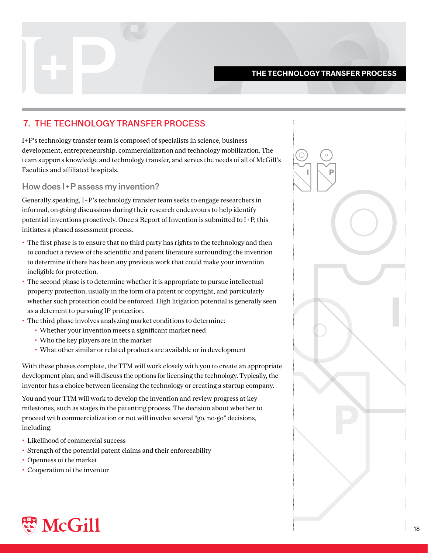#### **THE TECHNOLOGY TRANSFER PROCESS**

# <span id="page-17-0"></span>**7. THE TECHNOLOGY TRANSFER PROCESS**

I+P's technology transfer team is composed of specialists in science, business development, entrepreneurship, commercialization and technology mobilization. The team supports knowledge and technology transfer, and serves the needs of all of McGill's Faculties and affiliated hospitals.

#### How does I+P assess my invention?

Generally speaking, I+P's technology transfer team seeks to engage researchers in informal, on-going discussions during their research endeavours to help identify potential inventions proactively. Once a Report of Invention is submitted to  $I + P$ , this initiates a phased assessment process.

- The first phase is to ensure that no third party has rights to the technology and then to conduct a review of the scientific and patent literature surrounding the invention to determine if there has been any previous work that could make your invention ineligible for protection.
- Intellectual pursue is to determine whether it is appropriate to pursue intellectual  $\cdot$ property protection, usually in the form of a patent or copyright, and particularly whether such protection could be enforced. High litigation potential is generally seen as a deterrent to pursuing IP protection.
- The third phase involves analyzing market conditions to determine:
	- Whether your invention meets a significant market need
	- Who the key players are in the market
	- What other similar or related products are available or in development

With these phases complete, the TTM will work closely with you to create an appropriate development plan, and will discuss the options for licensing the technology. Typically, the inventor has a choice between licensing the technology or creating a startup company.

You and your TTM will work to develop the invention and review progress at key milestones, such as stages in the patenting process. The decision about whether to proceed with commercialization or not will involve several "go, no-go" decisions, including:

- Likelihood of commercial success
- Strength of the potential patent claims and their enforceability
- Openness of the market
- Cooperation of the inventor



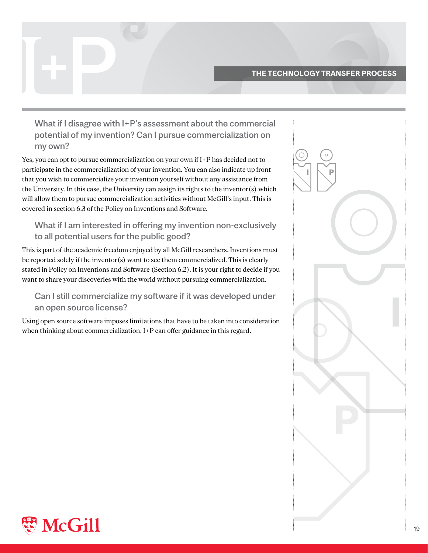#### **THE TECHNOLOGY TRANSFER PROCESS**

<span id="page-18-0"></span>What if I disagree with I+P's assessment about the commercial potential of my invention? Can I pursue commercialization on my own?

Yes, you can opt to pursue commercialization on your own if  $I+P$  has decided not to participate in the commercialization of your invention. You can also indicate up front that you wish to commercialize your invention yourself without any assistance from the University. In this case, the University can assign its rights to the inventor (s) which will allow them to pursue commercialization activities without McGill's input. This is covered in section 6.3 of the Policy on Inventions and Software.

# What if I am interested in offering my invention non-exclusively to all potential users for the public good?

This is part of the academic freedom enjoyed by all McGill researchers. Inventions must be reported solely if the inventor(s) want to see them commercialized. This is clearly stated in Policy on Inventions and Software (Section 6.2). It is your right to decide if you want to share your discoveries with the world without pursuing commercialization.

# Can I still commercialize my software if it was developed under an open source license?

Using open source software imposes limitations that have to be taken into consideration when thinking about commercialization. I+P can offer guidance in this regard.

| $\circ$<br>Ŝ<br>P<br>l |  |
|------------------------|--|
|                        |  |
|                        |  |
|                        |  |
|                        |  |
|                        |  |
|                        |  |
| $\frac{1}{2}$          |  |

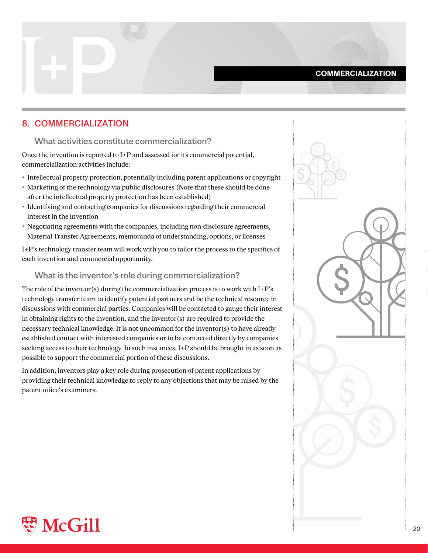#### **COMMERCIALIZATION**

### <span id="page-19-0"></span>8. COMMERCIALIZATION

#### What activities constitute commercialization?

Once the invention is reported to  $I+P$  and assessed for its commercial potential, commercialization activities include:

- Intellectual property protection, potentially including patent applications or copyright
- Marketing of the technology via public disclosures (Note that these should be done after the intellectual property protection has been established)
- Identifying and contacting companies for discussions regarding their commercial interest in the invention
- Negotiating agreements with the companies, including non-disclosure agreements, Material Transfer Agreements, memoranda of understanding, options, or licenses

I+P's technology transfer team will work with you to tailor the process to the specifics of each invention and commercial opportunity.

#### What is the inventor's role during commercialization?

The role of the inventor(s) during the commercialization process is to work with  $I+P's$ technology transfer team to identify potential partners and be the technical resource in discussions with commercial parties. Companies will be contacted to gauge their interest in obtaining rights to the invention, and the inventor  $(s)$  are required to provide the necessary technical knowledge. It is not uncommon for the inventor (s) to have already established contact with interested companies or to be contacted directly by companies seeking access to their technology. In such instances, I+P should be brought in as soon as possible to support the commercial portion of these discussions.

In addition, inventors play a key role during prosecution of patent applications by providing their technical knowledge to reply to any objections that may be raised by the patent office's examiners.



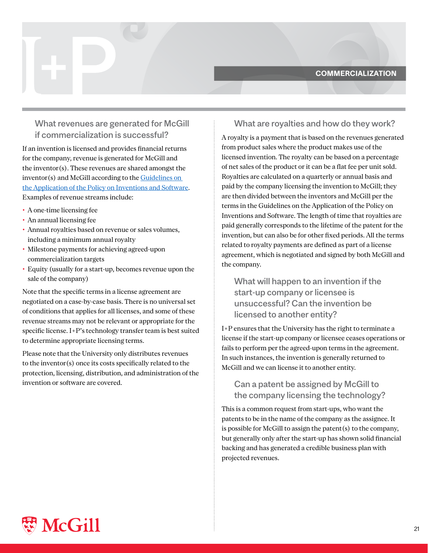#### **COMMERCIALIZATION**

# <span id="page-20-0"></span>What revenues are generated for McGill if commercialization is successful?

If an invention is licensed and provides financial returns for the company, revenue is generated for McGill and the inventor(s). These revenues are shared amongst the  $inventor(s)$  and McGill according to the  $Guidelines$  on the Application of the Policy on Inventions and Software. Examples of revenue streams include:

- A one-time licensing fee
- An annual licensing fee
- Annual royalties based on revenue or sales volumes, including a minimum annual royalty
- Milestone payments for achieving agreed-upon commercialization targets
- Equity (usually for a start-up, becomes revenue upon the sale of the company)

Note that the specific terms in a license agreement are negotiated on a case-by-case basis. There is no universal set of conditions that applies for all licenses, and some of these revenue streams may not be relevant or appropriate for the specific license. I+P's technology transfer team is best suited to determine appropriate licensing terms.

Please note that the University only distributes revenues to the inventor(s) once its costs specifically related to the protection, licensing, distribution, and administration of the invention or software are covered.

#### What are royalties and how do they work?

A royalty is a payment that is based on the revenues generated from product sales where the product makes use of the licensed invention. The royalty can be based on a percentage of net sales of the product or it can be a flat fee per unit sold. Royalties are calculated on a quarterly or annual basis and paid by the company licensing the invention to McGill; they are then divided between the inventors and McGill per the terms in the Guidelines on the Application of the Policy on Inventions and Software. The length of time that royalties are paid generally corresponds to the lifetime of the patent for the invention, but can also be for other fixed periods. All the terms related to royalty payments are defined as part of a license agreement, which is negotiated and signed by both McGill and the company.

What will happen to an invention if the start-up company or licensee is unsuccessful? Can the invention be licensed to another entity?

 $I+P$  ensures that the University has the right to terminate a license if the start-up company or licensee ceases operations or fails to perform per the agreed-upon terms in the agreement. In such instances, the invention is generally returned to McGill and we can license it to another entity.

# Can a patent be assigned by McGill to the company licensing the technology?

This is a common request from start-ups, who want the patents to be in the name of the company as the assignee. It is possible for McGill to assign the patent  $(s)$  to the company, but generally only after the start-up has shown solid financial backing and has generated a credible business plan with projected revenues.

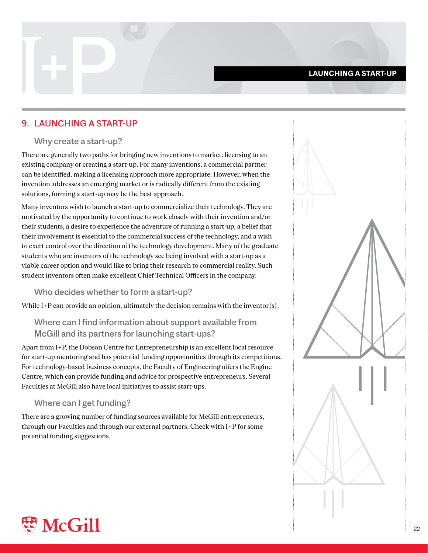#### **LAUNCHING A START-UP**

# <span id="page-21-0"></span>9. LAUNCHING A START-UP

#### Why create a start-up?

There are generally two paths for bringing new inventions to market: licensing to an existing company or creating a start-up. For many inventions, a commercial partner can be identified, making a licensing approach more appropriate. However, when the invention addresses an emerging market or is radically different from the existing solutions, forming a start-up may be the best approach.

Many inventors wish to launch a start-up to commercialize their technology. They are motivated by the opportunity to continue to work closely with their invention and/or their students, a desire to experience the adventure of running a start-up, a belief that their involvement is essential to the commercial success of the technology, and a wish to exert control over the direction of the technology development. Many of the graduate students who are inventors of the technology see being involved with a start-up as a viable career option and would like to bring their research to commercial reality. Such student inventors often make excellent Chief Technical Officers in the company.

#### Who decides whether to form a start-up?

While  $I+P$  can provide an opinion, ultimately the decision remains with the inventor(s).

# Where can I find information about support available from McGill and its partners for launching start-ups?

Apart from I+P, the Dobson Centre for Entrepreneurship is an excellent local resource for start-up mentoring and has potential funding opportunities through its competitions. For technology-based business concepts, the Faculty of Engineering offers the Engine Centre, which can provide funding and advice for prospective entrepreneurs. Several Faculties at McGill also have local initiatives to assist start-ups.

#### Where can I get funding?

There are a growing number of funding sources available for McGill entrepreneurs, through our Faculties and through our external partners. Check with I+P for some potential funding suggestions.



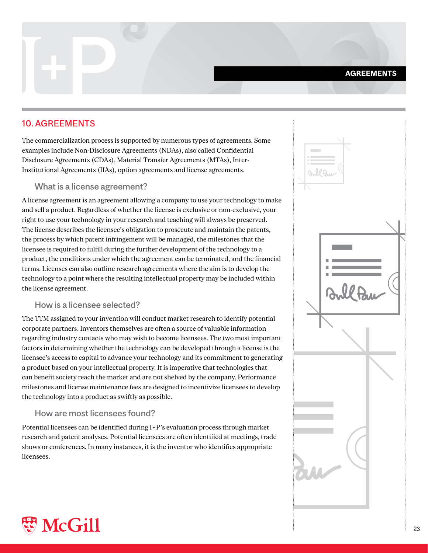#### **AGREEMENTS**

# <span id="page-22-0"></span>**10. AGREEMENTS**

The commercialization process is supported by numerous types of agreements. Some examples include Non-Disclosure Agreements (NDAs), also called Confidential Institutional Agreements (IIAs), option agreements and license agreements. Disclosure Agreements (CDAs), Material Transfer Agreements (MTAs), Inter-

#### What is a license agreement?

A license agreement is an agreement allowing a company to use your technology to make and sell a product. Regardless of whether the license is exclusive or non-exclusive, your right to use your technology in your research and teaching will always be preserved. The license describes the licensee's obligation to prosecute and maintain the patents, the process by which patent infringement will be managed, the milestones that the licensee is required to fulfill during the further development of the technology to a product, the conditions under which the agreement can be terminated, and the financial terms. Licenses can also outline research agreements where the aim is to develop the technology to a point where the resulting intellectual property may be included within the license agreement.

#### How is a licensee selected?

The TTM assigned to your invention will conduct market research to identify potential corporate partners. Inventors themselves are often a source of valuable information regarding industry contacts who may wish to become licensees. The two most important factors in determining whether the technology can be developed through a license is the licensee's access to capital to advance your technology and its commitment to generating a product based on your intellectual property. It is imperative that technologies that can benefit society reach the market and are not shelved by the company. Performance milestones and license maintenance fees are designed to incentivize licensees to develop the technology into a product as swiftly as possible.

#### How are most licensees found?

Potential licensees can be identified during  $I+P'$ s evaluation process through market research and patent analyses. Potential licensees are often identified at meetings, trade shows or conferences. In many instances, it is the inventor who identifies appropriate licensees.



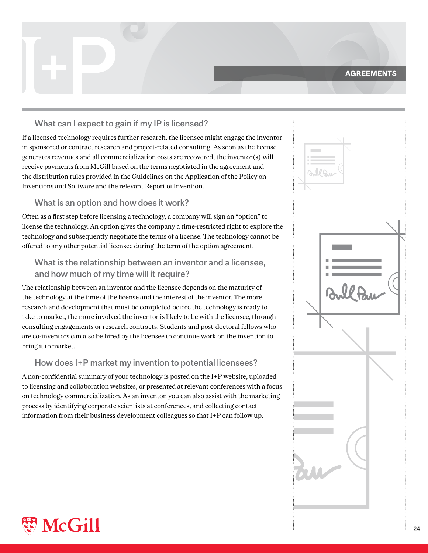#### **AGREEMENTS**

# <span id="page-23-0"></span>What can I expect to gain if my IP is licensed?

If a licensed technology requires further research, the licensee might engage the inventor in sponsored or contract research and project-related consulting. As soon as the license generates revenues and all commercialization costs are recovered, the inventor(s) will receive payments from McGill based on the terms negotiated in the agreement and the distribution rules provided in the Guidelines on the Application of the Policy on Inventions and Software and the relevant Report of Invention.

#### What is an option and how does it work?

Often as a first step before licensing a technology, a company will sign an "option" to license the technology. An option gives the company a time-restricted right to explore the technology and subsequently negotiate the terms of a license. The technology cannot be offered to any other potential licensee during the term of the option agreement.

# What is the relationship between an inventor and a licensee. and how much of my time will it require?

The relationship between an inventor and the licensee depends on the maturity of the technology at the time of the license and the interest of the inventor. The more research and development that must be completed before the technology is ready to take to market, the more involved the inventor is likely to be with the licensee, through consulting engagements or research contracts. Students and post-doctoral fellows who are co-inventors can also be hired by the licensee to continue work on the invention to bring it to market.

#### How does I+P market my invention to potential licensees?

A non-confidential summary of your technology is posted on the I+P website, uploaded to licensing and collaboration websites, or presented at relevant conferences with a focus on technology commercialization. As an inventor, you can also assist with the marketing process by identifying corporate scientists at conferences, and collecting contact information from their business development colleagues so that  $I+P$  can follow up.